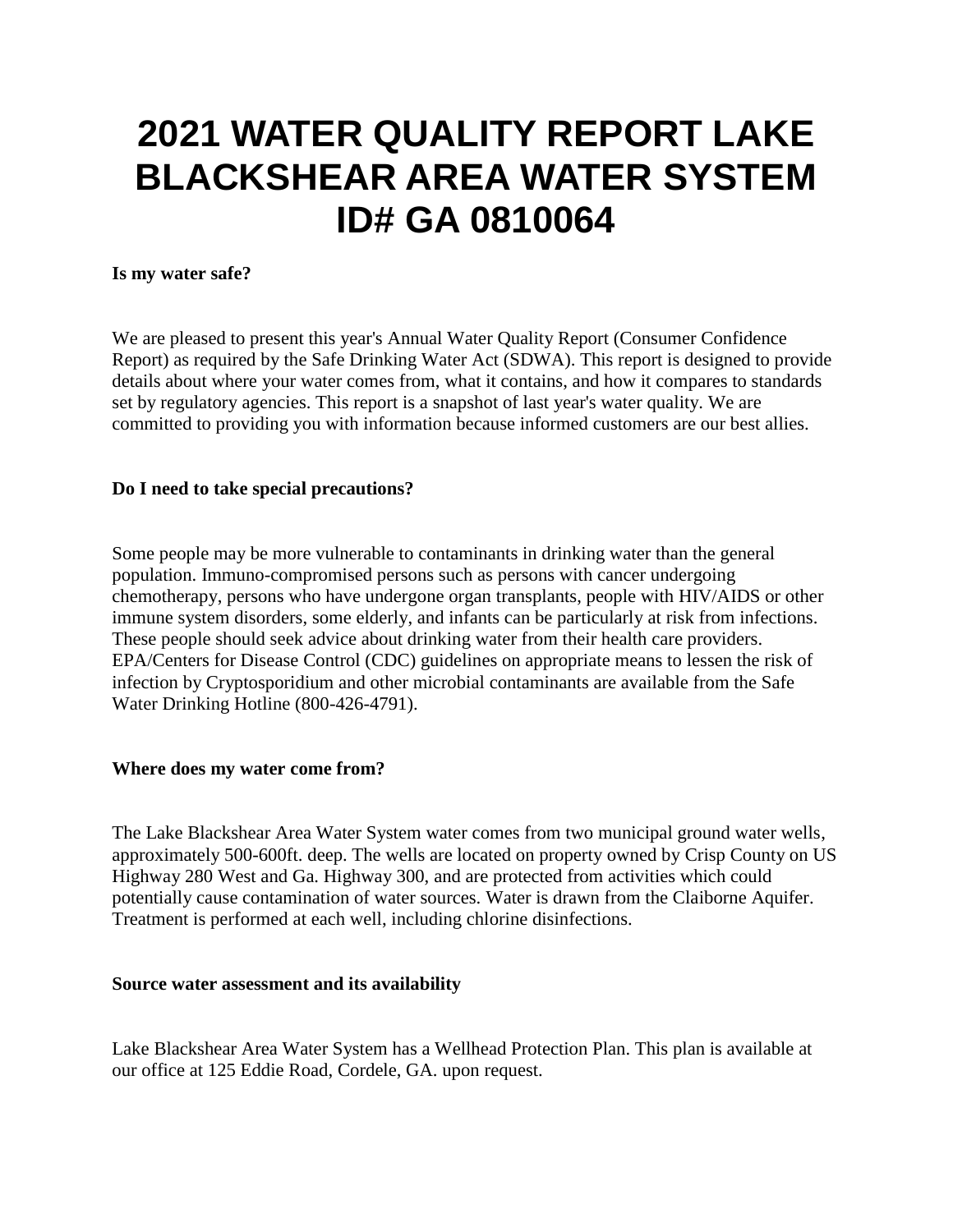# **2021 WATER QUALITY REPORT LAKE BLACKSHEAR AREA WATER SYSTEM ID# GA 0810064**

#### **Is my water safe?**

We are pleased to present this year's Annual Water Quality Report (Consumer Confidence Report) as required by the Safe Drinking Water Act (SDWA). This report is designed to provide details about where your water comes from, what it contains, and how it compares to standards set by regulatory agencies. This report is a snapshot of last year's water quality. We are committed to providing you with information because informed customers are our best allies.

#### **Do I need to take special precautions?**

Some people may be more vulnerable to contaminants in drinking water than the general population. Immuno-compromised persons such as persons with cancer undergoing chemotherapy, persons who have undergone organ transplants, people with HIV/AIDS or other immune system disorders, some elderly, and infants can be particularly at risk from infections. These people should seek advice about drinking water from their health care providers. EPA/Centers for Disease Control (CDC) guidelines on appropriate means to lessen the risk of infection by Cryptosporidium and other microbial contaminants are available from the Safe Water Drinking Hotline (800-426-4791).

#### **Where does my water come from?**

The Lake Blackshear Area Water System water comes from two municipal ground water wells, approximately 500-600ft. deep. The wells are located on property owned by Crisp County on US Highway 280 West and Ga. Highway 300, and are protected from activities which could potentially cause contamination of water sources. Water is drawn from the Claiborne Aquifer. Treatment is performed at each well, including chlorine disinfections.

#### **Source water assessment and its availability**

Lake Blackshear Area Water System has a Wellhead Protection Plan. This plan is available at our office at 125 Eddie Road, Cordele, GA. upon request.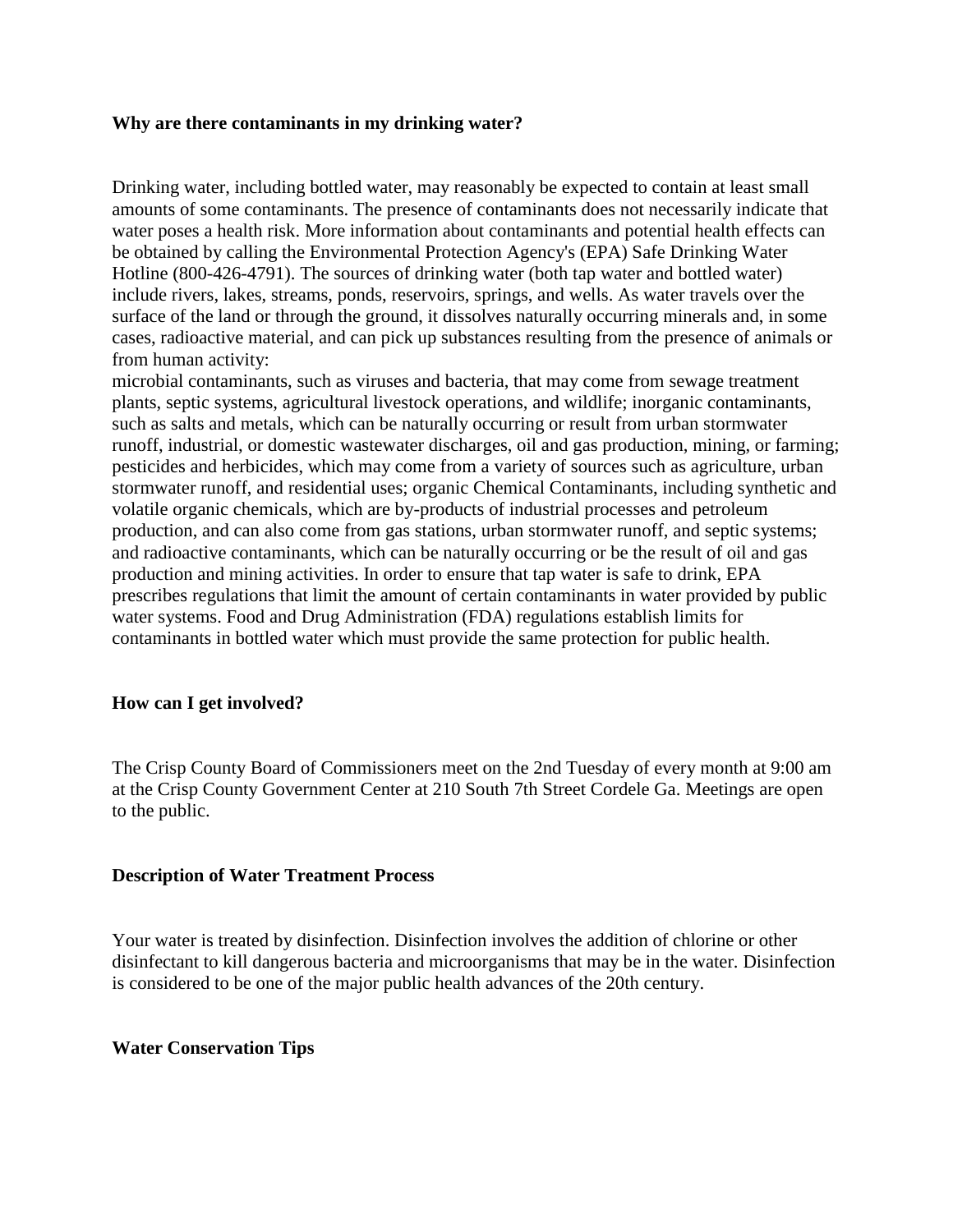#### **Why are there contaminants in my drinking water?**

Drinking water, including bottled water, may reasonably be expected to contain at least small amounts of some contaminants. The presence of contaminants does not necessarily indicate that water poses a health risk. More information about contaminants and potential health effects can be obtained by calling the Environmental Protection Agency's (EPA) Safe Drinking Water Hotline (800-426-4791). The sources of drinking water (both tap water and bottled water) include rivers, lakes, streams, ponds, reservoirs, springs, and wells. As water travels over the surface of the land or through the ground, it dissolves naturally occurring minerals and, in some cases, radioactive material, and can pick up substances resulting from the presence of animals or from human activity:

microbial contaminants, such as viruses and bacteria, that may come from sewage treatment plants, septic systems, agricultural livestock operations, and wildlife; inorganic contaminants, such as salts and metals, which can be naturally occurring or result from urban stormwater runoff, industrial, or domestic wastewater discharges, oil and gas production, mining, or farming; pesticides and herbicides, which may come from a variety of sources such as agriculture, urban stormwater runoff, and residential uses; organic Chemical Contaminants, including synthetic and volatile organic chemicals, which are by-products of industrial processes and petroleum production, and can also come from gas stations, urban stormwater runoff, and septic systems; and radioactive contaminants, which can be naturally occurring or be the result of oil and gas production and mining activities. In order to ensure that tap water is safe to drink, EPA prescribes regulations that limit the amount of certain contaminants in water provided by public water systems. Food and Drug Administration (FDA) regulations establish limits for contaminants in bottled water which must provide the same protection for public health.

#### **How can I get involved?**

The Crisp County Board of Commissioners meet on the 2nd Tuesday of every month at 9:00 am at the Crisp County Government Center at 210 South 7th Street Cordele Ga. Meetings are open to the public.

#### **Description of Water Treatment Process**

Your water is treated by disinfection. Disinfection involves the addition of chlorine or other disinfectant to kill dangerous bacteria and microorganisms that may be in the water. Disinfection is considered to be one of the major public health advances of the 20th century.

#### **Water Conservation Tips**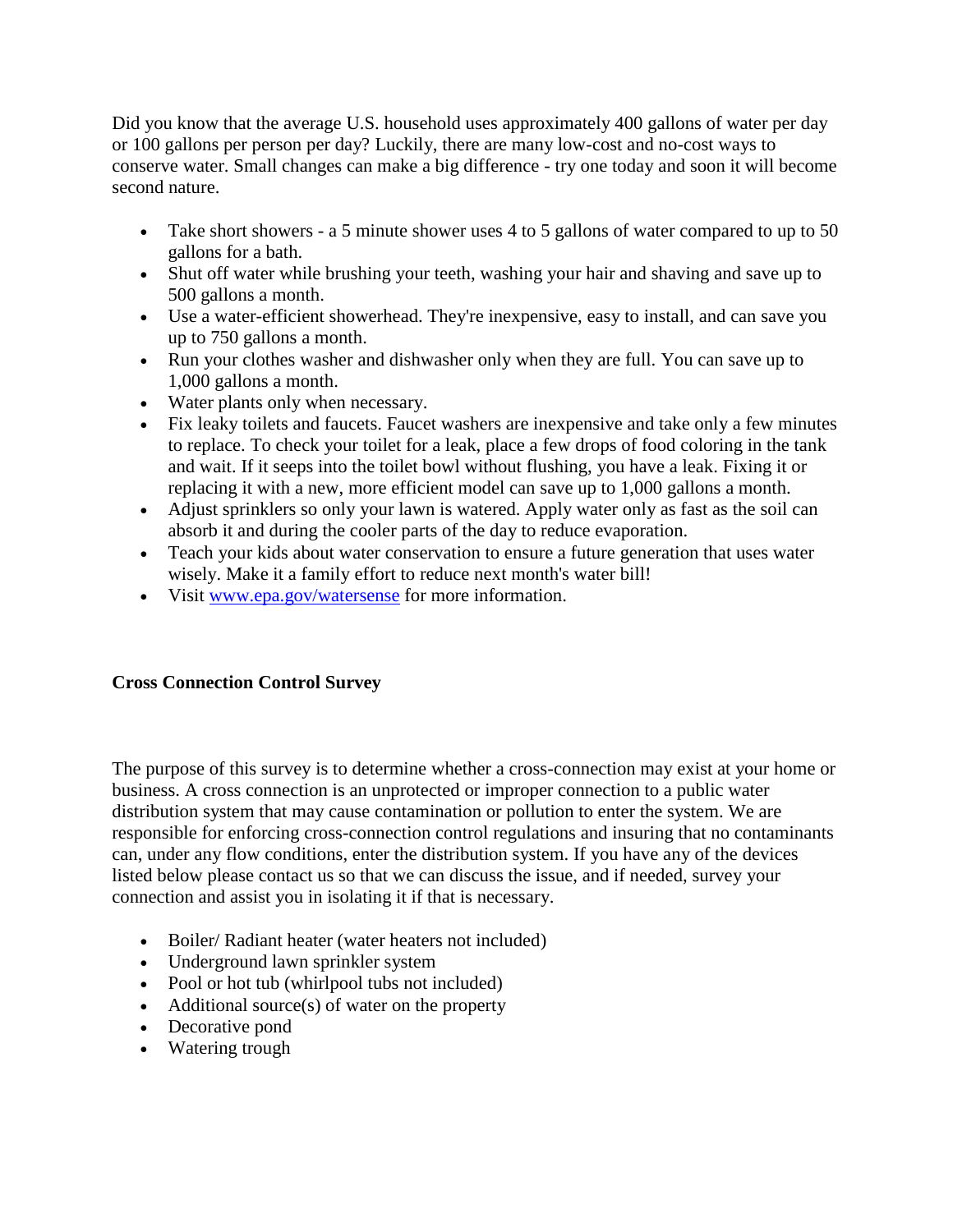Did you know that the average U.S. household uses approximately 400 gallons of water per day or 100 gallons per person per day? Luckily, there are many low-cost and no-cost ways to conserve water. Small changes can make a big difference - try one today and soon it will become second nature.

- Take short showers a 5 minute shower uses 4 to 5 gallons of water compared to up to 50 gallons for a bath.
- Shut off water while brushing your teeth, washing your hair and shaving and save up to 500 gallons a month.
- Use a water-efficient showerhead. They're inexpensive, easy to install, and can save you up to 750 gallons a month.
- Run your clothes washer and dishwasher only when they are full. You can save up to 1,000 gallons a month.
- Water plants only when necessary.
- Fix leaky toilets and faucets. Faucet washers are inexpensive and take only a few minutes to replace. To check your toilet for a leak, place a few drops of food coloring in the tank and wait. If it seeps into the toilet bowl without flushing, you have a leak. Fixing it or replacing it with a new, more efficient model can save up to 1,000 gallons a month.
- Adjust sprinklers so only your lawn is watered. Apply water only as fast as the soil can absorb it and during the cooler parts of the day to reduce evaporation.
- Teach your kids about water conservation to ensure a future generation that uses water wisely. Make it a family effort to reduce next month's water bill!
- Visit [www.epa.gov/watersense](http://www.epa.gov/watersense) for more information.

## **Cross Connection Control Survey**

The purpose of this survey is to determine whether a cross-connection may exist at your home or business. A cross connection is an unprotected or improper connection to a public water distribution system that may cause contamination or pollution to enter the system. We are responsible for enforcing cross-connection control regulations and insuring that no contaminants can, under any flow conditions, enter the distribution system. If you have any of the devices listed below please contact us so that we can discuss the issue, and if needed, survey your connection and assist you in isolating it if that is necessary.

- Boiler/ Radiant heater (water heaters not included)
- Underground lawn sprinkler system
- Pool or hot tub (whirlpool tubs not included)
- $\bullet$  Additional source(s) of water on the property
- Decorative pond
- Watering trough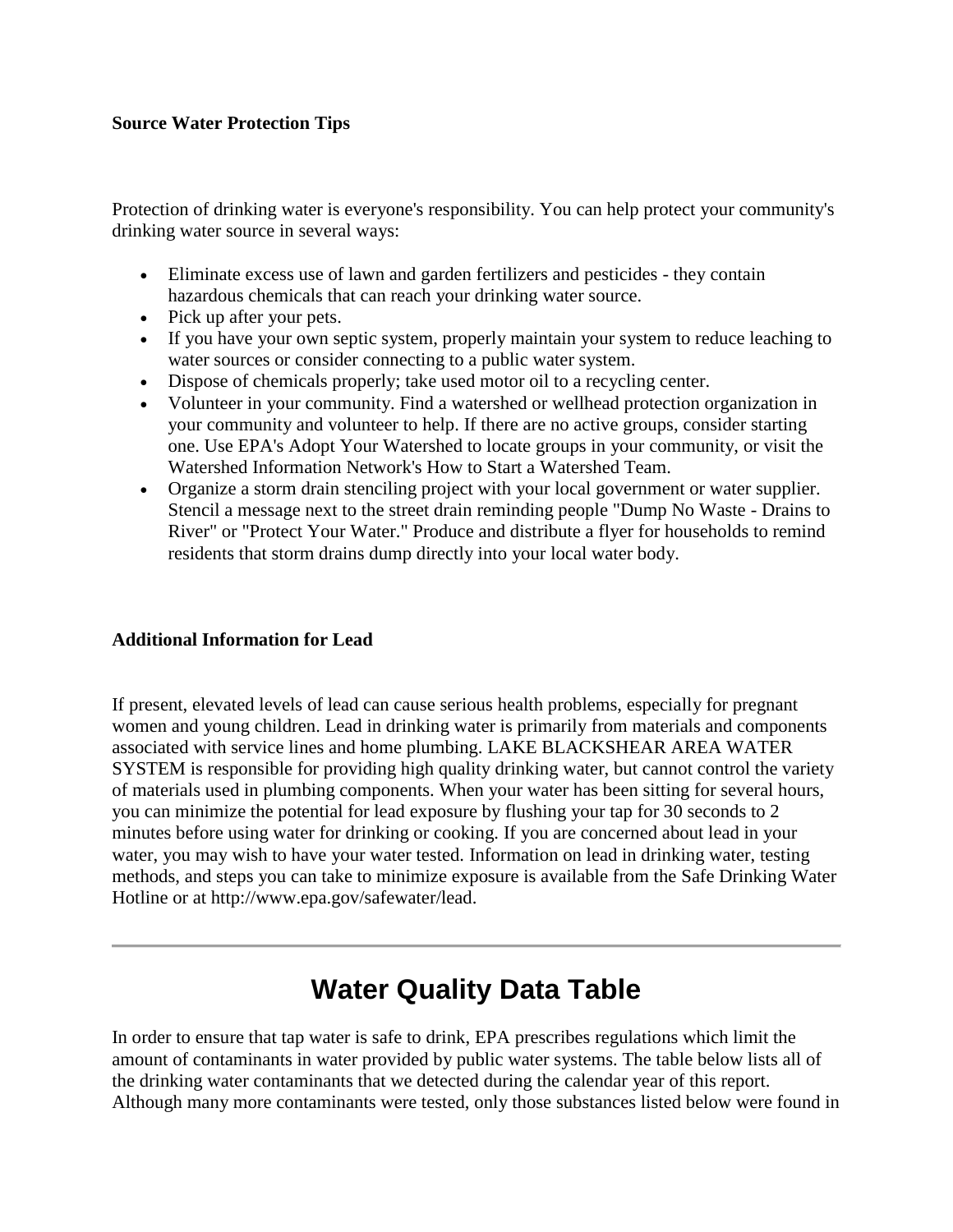#### **Source Water Protection Tips**

Protection of drinking water is everyone's responsibility. You can help protect your community's drinking water source in several ways:

- Eliminate excess use of lawn and garden fertilizers and pesticides they contain hazardous chemicals that can reach your drinking water source.
- Pick up after your pets.
- If you have your own septic system, properly maintain your system to reduce leaching to water sources or consider connecting to a public water system.
- Dispose of chemicals properly; take used motor oil to a recycling center.
- Volunteer in your community. Find a watershed or wellhead protection organization in your community and volunteer to help. If there are no active groups, consider starting one. Use EPA's Adopt Your Watershed to locate groups in your community, or visit the Watershed Information Network's How to Start a Watershed Team.
- Organize a storm drain stenciling project with your local government or water supplier. Stencil a message next to the street drain reminding people "Dump No Waste - Drains to River" or "Protect Your Water." Produce and distribute a flyer for households to remind residents that storm drains dump directly into your local water body.

### **Additional Information for Lead**

If present, elevated levels of lead can cause serious health problems, especially for pregnant women and young children. Lead in drinking water is primarily from materials and components associated with service lines and home plumbing. LAKE BLACKSHEAR AREA WATER SYSTEM is responsible for providing high quality drinking water, but cannot control the variety of materials used in plumbing components. When your water has been sitting for several hours, you can minimize the potential for lead exposure by flushing your tap for 30 seconds to 2 minutes before using water for drinking or cooking. If you are concerned about lead in your water, you may wish to have your water tested. Information on lead in drinking water, testing methods, and steps you can take to minimize exposure is available from the Safe Drinking Water Hotline or at http://www.epa.gov/safewater/lead.

# **Water Quality Data Table**

In order to ensure that tap water is safe to drink, EPA prescribes regulations which limit the amount of contaminants in water provided by public water systems. The table below lists all of the drinking water contaminants that we detected during the calendar year of this report. Although many more contaminants were tested, only those substances listed below were found in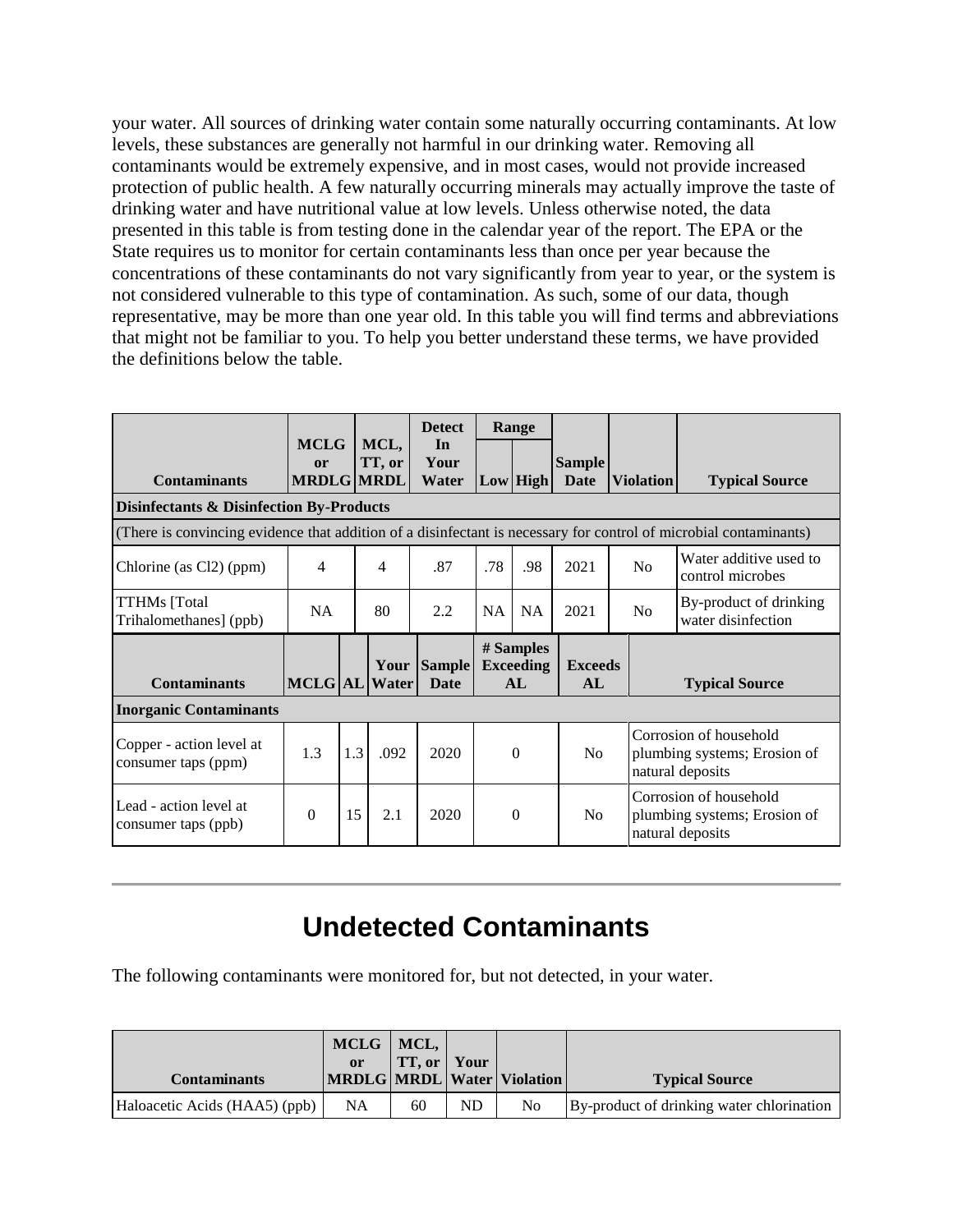your water. All sources of drinking water contain some naturally occurring contaminants. At low levels, these substances are generally not harmful in our drinking water. Removing all contaminants would be extremely expensive, and in most cases, would not provide increased protection of public health. A few naturally occurring minerals may actually improve the taste of drinking water and have nutritional value at low levels. Unless otherwise noted, the data presented in this table is from testing done in the calendar year of the report. The EPA or the State requires us to monitor for certain contaminants less than once per year because the concentrations of these contaminants do not vary significantly from year to year, or the system is not considered vulnerable to this type of contamination. As such, some of our data, though representative, may be more than one year old. In this table you will find terms and abbreviations that might not be familiar to you. To help you better understand these terms, we have provided the definitions below the table.

|                                                                                                                   |                                        |     |                | <b>Detect</b><br>Range       |                                     |                            |                       |                                                                            |                                                                            |  |
|-------------------------------------------------------------------------------------------------------------------|----------------------------------------|-----|----------------|------------------------------|-------------------------------------|----------------------------|-----------------------|----------------------------------------------------------------------------|----------------------------------------------------------------------------|--|
| <b>Contaminants</b>                                                                                               | <b>MCLG</b><br>or<br><b>MRDLG MRDL</b> |     | MCL,<br>TT, or | In<br>Your<br>Water          |                                     | $Low$ High                 | <b>Sample</b><br>Date | <b>Violation</b>                                                           | <b>Typical Source</b>                                                      |  |
| <b>Disinfectants &amp; Disinfection By-Products</b>                                                               |                                        |     |                |                              |                                     |                            |                       |                                                                            |                                                                            |  |
| (There is convincing evidence that addition of a disinfectant is necessary for control of microbial contaminants) |                                        |     |                |                              |                                     |                            |                       |                                                                            |                                                                            |  |
| Chlorine (as Cl2) (ppm)                                                                                           | $\overline{4}$                         |     | 4              | .87                          | .78                                 | .98                        | 2021                  | N <sub>0</sub>                                                             | Water additive used to<br>control microbes                                 |  |
| <b>TTHMs</b> [Total<br>Trihalomethanes] (ppb)                                                                     | NA                                     |     | 80             | 2.2                          | NA                                  | NA                         | 2021                  | N <sub>o</sub>                                                             | By-product of drinking<br>water disinfection                               |  |
| <b>Contaminants</b>                                                                                               | <b>MCLG AL</b>                         |     | Your<br>Water  | <b>Sample</b><br><b>Date</b> | # Samples<br><b>Exceeding</b><br>AL |                            | <b>Exceeds</b><br>AL  | <b>Typical Source</b>                                                      |                                                                            |  |
| <b>Inorganic Contaminants</b>                                                                                     |                                        |     |                |                              |                                     |                            |                       |                                                                            |                                                                            |  |
| Copper - action level at<br>consumer taps (ppm)                                                                   | 1.3                                    | 1.3 | .092           | 2020                         |                                     | $\Omega$<br>N <sub>o</sub> |                       |                                                                            | Corrosion of household<br>plumbing systems; Erosion of<br>natural deposits |  |
| Lead - action level at<br>consumer taps (ppb)                                                                     | $\Omega$                               | 15  | 2.1            | 2020                         | $\Omega$<br>N <sub>0</sub>          |                            |                       | Corrosion of household<br>plumbing systems; Erosion of<br>natural deposits |                                                                            |  |

# **Undetected Contaminants**

The following contaminants were monitored for, but not detected, in your water.

|                               | MCLG   MCL,<br><sub>or</sub> | <b>TT, or Your</b> |    |                                  |                                           |
|-------------------------------|------------------------------|--------------------|----|----------------------------------|-------------------------------------------|
| <b>Contaminants</b>           |                              |                    |    | MRDLG   MRDL   Water   Violation | <b>Typical Source</b>                     |
| Haloacetic Acids (HAA5) (ppb) | NA                           | 60                 | ND | No                               | By-product of drinking water chlorination |